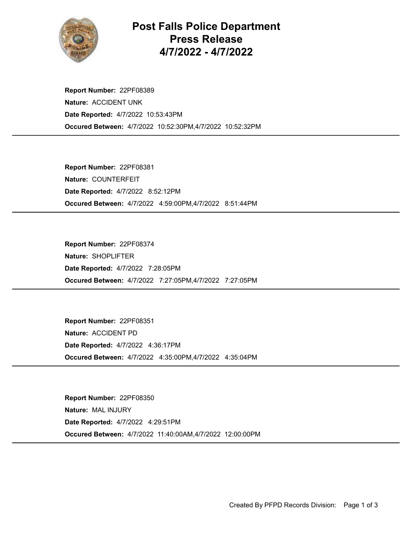

Post Falls Police Department Press Release 4/7/2022 - 4/7/2022

Occured Between: 4/7/2022 10:52:30PM,4/7/2022 10:52:32PM Report Number: 22PF08389 Nature: ACCIDENT UNK Date Reported: 4/7/2022 10:53:43PM

Occured Between: 4/7/2022 4:59:00PM,4/7/2022 8:51:44PM Report Number: 22PF08381 Nature: COUNTERFEIT Date Reported: 4/7/2022 8:52:12PM

Occured Between: 4/7/2022 7:27:05PM,4/7/2022 7:27:05PM Report Number: 22PF08374 Nature: SHOPLIFTER Date Reported: 4/7/2022 7:28:05PM

Occured Between: 4/7/2022 4:35:00PM,4/7/2022 4:35:04PM Report Number: 22PF08351 Nature: ACCIDENT PD Date Reported: 4/7/2022 4:36:17PM

Occured Between: 4/7/2022 11:40:00AM,4/7/2022 12:00:00PM Report Number: 22PF08350 Nature: MAL INJURY Date Reported: 4/7/2022 4:29:51PM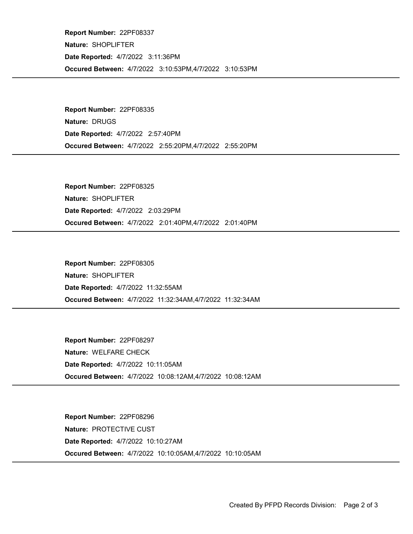Occured Between: 4/7/2022 3:10:53PM,4/7/2022 3:10:53PM Report Number: 22PF08337 Nature: SHOPLIFTER Date Reported: 4/7/2022 3:11:36PM

Occured Between: 4/7/2022 2:55:20PM,4/7/2022 2:55:20PM Report Number: 22PF08335 Nature: DRUGS Date Reported: 4/7/2022 2:57:40PM

Occured Between: 4/7/2022 2:01:40PM,4/7/2022 2:01:40PM Report Number: 22PF08325 Nature: SHOPLIFTER Date Reported: 4/7/2022 2:03:29PM

Occured Between: 4/7/2022 11:32:34AM,4/7/2022 11:32:34AM Report Number: 22PF08305 Nature: SHOPLIFTER Date Reported: 4/7/2022 11:32:55AM

Occured Between: 4/7/2022 10:08:12AM,4/7/2022 10:08:12AM Report Number: 22PF08297 Nature: WELFARE CHECK Date Reported: 4/7/2022 10:11:05AM

Occured Between: 4/7/2022 10:10:05AM,4/7/2022 10:10:05AM Report Number: 22PF08296 Nature: PROTECTIVE CUST Date Reported: 4/7/2022 10:10:27AM